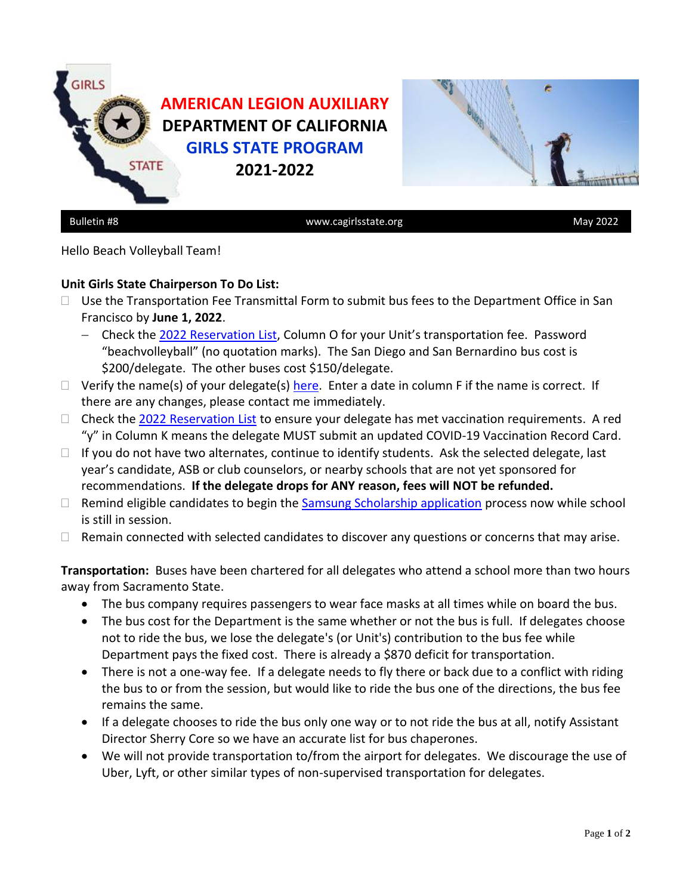

Hello Beach Volleyball Team!

## **Unit Girls State Chairperson To Do List:**

- $\Box$  Use the Transportation Fee Transmittal Form to submit bus fees to the Department Office in San Francisco by **June 1, 2022**.
	- − Check the [2022 Reservation List,](https://www.cagirlsstate.org/units-districts) Column O for your Unit's transportation fee. Password "beachvolleyball" (no quotation marks). The San Diego and San Bernardino bus cost is \$200/delegate. The other buses cost \$150/delegate.
- $\Box$  Verify the name(s) of your delegate(s) [here.](https://docs.google.com/spreadsheets/d/1VFIGoc5DzeE5bc3k8vdgLOwG6HB3s0uQI1OCWze9dVQ/edit?usp=sharing) Enter a date in column F if the name is correct. If there are any changes, please contact me immediately.
- $\Box$  Check the [2022 Reservation List](https://www.cagirlsstate.org/units-districts) to ensure your delegate has met vaccination requirements. A red "y" in Column K means the delegate MUST submit an updated COVID-19 Vaccination Record Card.
- $\Box$  If you do not have two alternates, continue to identify students. Ask the selected delegate, last year's candidate, ASB or club counselors, or nearby schools that are not yet sponsored for recommendations. **If the delegate drops for ANY reason, fees will NOT be refunded.**
- $\Box$  Remind eligible candidates to begin the  $Samsung Scholarship application process now while school$ is still in session.
- $\Box$  Remain connected with selected candidates to discover any questions or concerns that may arise.

**Transportation:** Buses have been chartered for all delegates who attend a school more than two hours away from Sacramento State.

- The bus company requires passengers to wear face masks at all times while on board the bus.
- The bus cost for the Department is the same whether or not the bus is full. If delegates choose not to ride the bus, we lose the delegate's (or Unit's) contribution to the bus fee while Department pays the fixed cost. There is already a \$870 deficit for transportation.
- There is not a one-way fee. If a delegate needs to fly there or back due to a conflict with riding the bus to or from the session, but would like to ride the bus one of the directions, the bus fee remains the same.
- If a delegate chooses to ride the bus only one way or to not ride the bus at all, notify Assistant Director Sherry Core so we have an accurate list for bus chaperones.
- We will not provide transportation to/from the airport for delegates. We discourage the use of Uber, Lyft, or other similar types of non-supervised transportation for delegates.